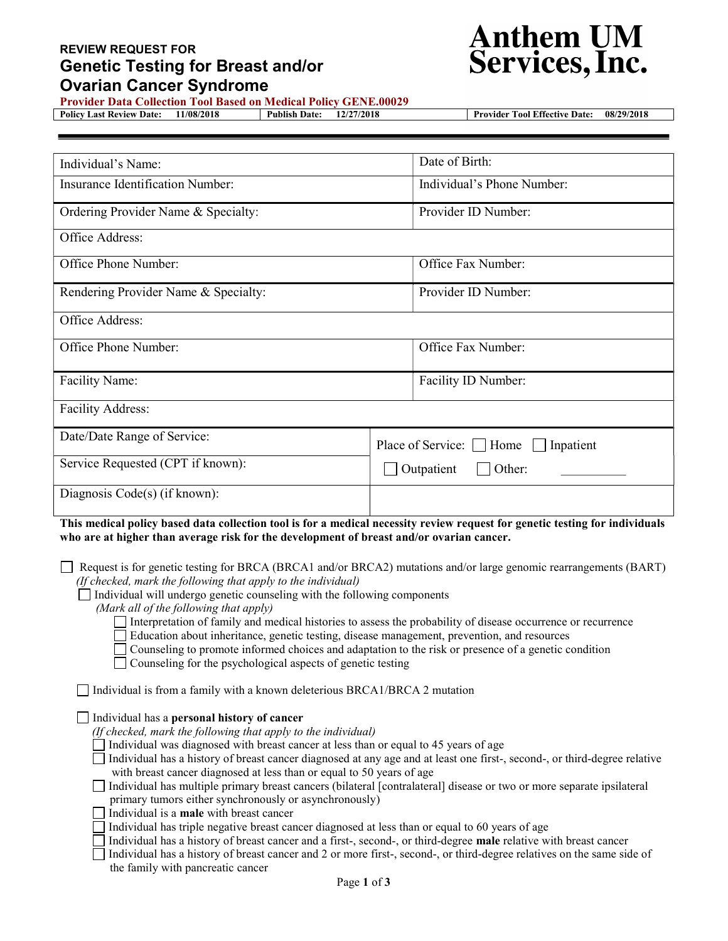## REVIEW REQUEST FOR Genetic Testing for Breast and/or Ovarian Cancer Syndrome



Provider Data Collection Tool Based on Medical Policy GENE.00029

Policy Last Review Date: 11/08/2018 Publish Date: 12/27/2018 Provider Tool Effective Date: 08/29/2018

| Individual's Name:                      | Date of Birth:                      |  |  |  |  |
|-----------------------------------------|-------------------------------------|--|--|--|--|
| <b>Insurance Identification Number:</b> | Individual's Phone Number:          |  |  |  |  |
| Ordering Provider Name & Specialty:     | Provider ID Number:                 |  |  |  |  |
| Office Address:                         |                                     |  |  |  |  |
| Office Phone Number:                    | Office Fax Number:                  |  |  |  |  |
| Rendering Provider Name & Specialty:    | Provider ID Number:                 |  |  |  |  |
| Office Address:                         |                                     |  |  |  |  |
| Office Phone Number:                    | Office Fax Number:                  |  |  |  |  |
| Facility Name:                          | Facility ID Number:                 |  |  |  |  |
| <b>Facility Address:</b>                |                                     |  |  |  |  |
| Date/Date Range of Service:             | Place of Service: Home<br>Inpatient |  |  |  |  |
| Service Requested (CPT if known):       | Outpatient<br>Other:                |  |  |  |  |
| Diagnosis Code(s) (if known):           |                                     |  |  |  |  |

This medical policy based data collection tool is for a medical necessity review request for genetic testing for individuals who are at higher than average risk for the development of breast and/or ovarian cancer.

Request is for genetic testing for BRCA (BRCA1 and/or BRCA2) mutations and/or large genomic rearrangements (BART) (If checked, mark the following that apply to the individual)

Individual will undergo genetic counseling with the following components

(Mark all of the following that apply)

Interpretation of family and medical histories to assess the probability of disease occurrence or recurrence

- Education about inheritance, genetic testing, disease management, prevention, and resources
- Counseling to promote informed choices and adaptation to the risk or presence of a genetic condition
- Counseling for the psychological aspects of genetic testing

Individual is from a family with a known deleterious BRCA1/BRCA 2 mutation

Individual has a personal history of cancer

- (If checked, mark the following that apply to the individual)
- Individual was diagnosed with breast cancer at less than or equal to 45 years of age
- Individual has a history of breast cancer diagnosed at any age and at least one first-, second-, or third-degree relative with breast cancer diagnosed at less than or equal to 50 years of age

| Individual has multiple primary breast cancers (bilateral [contralateral] disease or two or more separate ipsilateral |  |  |  |
|-----------------------------------------------------------------------------------------------------------------------|--|--|--|
| primary tumors either synchronously or asynchronously                                                                 |  |  |  |

- $\Box$  Individual is a **male** with breast cancer
	- Individual has triple negative breast cancer diagnosed at less than or equal to 60 years of age

Individual has a history of breast cancer and a first-, second-, or third-degree **male** relative with breast cancer

- Individual has a history of breast cancer and 2 or more first-, second-, or third-degree relatives on the same side of
	- the family with pancreatic cancer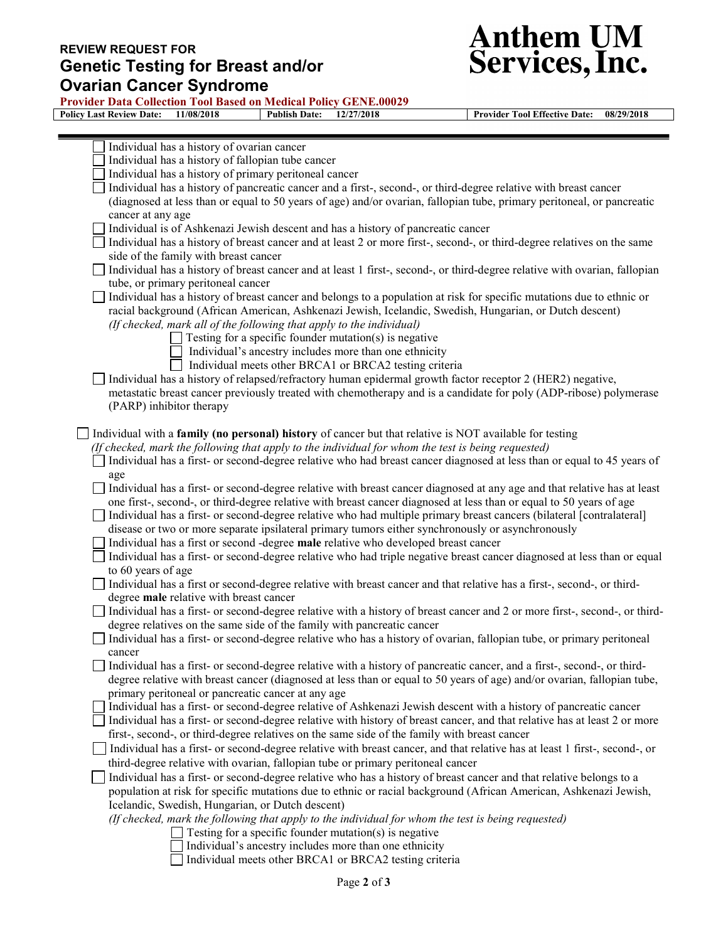## REVIEW REQUEST FOR Genetic Testing for Breast and/or Ovarian Cancer Syndrome

 $\equiv$ 



Provider Data Collection Tool Based on Medical Policy GENE.00029

Policy Last Review Date: 11/08/2018 Publish Date: 12/27/2018 Provider Tool Effective Date: 08/29/2018

| Individual has a history of ovarian cancer                                                                                        |
|-----------------------------------------------------------------------------------------------------------------------------------|
| Individual has a history of fallopian tube cancer                                                                                 |
| Individual has a history of primary peritoneal cancer                                                                             |
| Individual has a history of pancreatic cancer and a first-, second-, or third-degree relative with breast cancer                  |
| (diagnosed at less than or equal to 50 years of age) and/or ovarian, fallopian tube, primary peritoneal, or pancreatic            |
| cancer at any age                                                                                                                 |
| Individual is of Ashkenazi Jewish descent and has a history of pancreatic cancer                                                  |
| Individual has a history of breast cancer and at least 2 or more first-, second-, or third-degree relatives on the same           |
| side of the family with breast cancer                                                                                             |
| Individual has a history of breast cancer and at least 1 first-, second-, or third-degree relative with ovarian, fallopian        |
| tube, or primary peritoneal cancer                                                                                                |
| Individual has a history of breast cancer and belongs to a population at risk for specific mutations due to ethnic or             |
| racial background (African American, Ashkenazi Jewish, Icelandic, Swedish, Hungarian, or Dutch descent)                           |
| (If checked, mark all of the following that apply to the individual)                                                              |
| $\Box$ Testing for a specific founder mutation(s) is negative                                                                     |
| Individual's ancestry includes more than one ethnicity                                                                            |
| Individual meets other BRCA1 or BRCA2 testing criteria                                                                            |
| Individual has a history of relapsed/refractory human epidermal growth factor receptor 2 (HER2) negative,                         |
| metastatic breast cancer previously treated with chemotherapy and is a candidate for poly (ADP-ribose) polymerase                 |
| (PARP) inhibitor therapy                                                                                                          |
|                                                                                                                                   |
| Individual with a family (no personal) history of cancer but that relative is NOT available for testing                           |
| (If checked, mark the following that apply to the individual for whom the test is being requested)                                |
| Individual has a first- or second-degree relative who had breast cancer diagnosed at less than or equal to 45 years of            |
| age                                                                                                                               |
| Individual has a first- or second-degree relative with breast cancer diagnosed at any age and that relative has at least          |
| one first-, second-, or third-degree relative with breast cancer diagnosed at less than or equal to 50 years of age               |
| Individual has a first- or second-degree relative who had multiple primary breast cancers (bilateral [contralateral]              |
| disease or two or more separate ipsilateral primary tumors either synchronously or asynchronously                                 |
| Individual has a first or second -degree male relative who developed breast cancer                                                |
| Individual has a first- or second-degree relative who had triple negative breast cancer diagnosed at less than or equal           |
| to 60 years of age                                                                                                                |
| Individual has a first or second-degree relative with breast cancer and that relative has a first-, second-, or third-            |
| degree male relative with breast cancer                                                                                           |
| Individual has a first- or second-degree relative with a history of breast cancer and 2 or more first-, second-, or third-        |
| degree relatives on the same side of the family with pancreatic cancer                                                            |
| Individual has a first- or second-degree relative who has a history of ovarian, fallopian tube, or primary peritoneal             |
|                                                                                                                                   |
| cancer<br>Individual has a first- or second-degree relative with a history of pancreatic cancer, and a first-, second-, or third- |
| degree relative with breast cancer (diagnosed at less than or equal to 50 years of age) and/or ovarian, fallopian tube,           |
| primary peritoneal or pancreatic cancer at any age                                                                                |
|                                                                                                                                   |
| Individual has a first- or second-degree relative of Ashkenazi Jewish descent with a history of pancreatic cancer                 |
| Individual has a first- or second-degree relative with history of breast cancer, and that relative has at least 2 or more         |
| first-, second-, or third-degree relatives on the same side of the family with breast cancer                                      |
| Individual has a first- or second-degree relative with breast cancer, and that relative has at least 1 first-, second-, or        |
| third-degree relative with ovarian, fallopian tube or primary peritoneal cancer                                                   |
| Individual has a first- or second-degree relative who has a history of breast cancer and that relative belongs to a               |
| population at risk for specific mutations due to ethnic or racial background (African American, Ashkenazi Jewish,                 |
| Icelandic, Swedish, Hungarian, or Dutch descent)                                                                                  |
| (If checked, mark the following that apply to the individual for whom the test is being requested)                                |
| Testing for a specific founder mutation(s) is negative                                                                            |
| Individual's ancestry includes more than one ethnicity                                                                            |
| Individual meets other BRCA1 or BRCA2 testing criteria                                                                            |